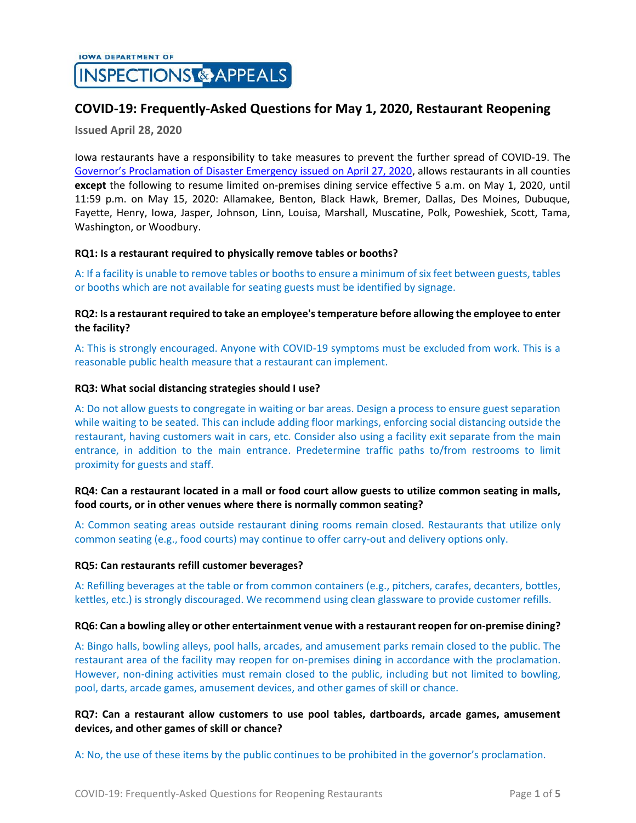# **COVID-19: Frequently-Asked Questions for May 1, 2020, Restaurant Reopening**

**Issued April 28, 2020**

Iowa restaurants have a responsibility to take measures to prevent the further spread of COVID-19. The [Governor's Proclamation of Disaster Emergency issued on April 27, 2020](https://governor.iowa.gov/press-release/gov-reynolds-signs-new-proclamation-continuing-the-state-public-health-emergency-0), allows restaurants in all counties **except** the following to resume limited on-premises dining service effective 5 a.m. on May 1, 2020, until 11:59 p.m. on May 15, 2020: Allamakee, Benton, Black Hawk, Bremer, Dallas, Des Moines, Dubuque, Fayette, Henry, Iowa, Jasper, Johnson, Linn, Louisa, Marshall, Muscatine, Polk, Poweshiek, Scott, Tama, Washington, or Woodbury.

### **RQ1: Is a restaurant required to physically remove tables or booths?**

A: If a facility is unable to remove tables or booths to ensure a minimum of six feet between guests, tables or booths which are not available for seating guests must be identified by signage.

### **RQ2: Is a restaurant required to take an employee's temperature before allowing the employee to enter the facility?**

A: This is strongly encouraged. Anyone with COVID-19 symptoms must be excluded from work. This is a reasonable public health measure that a restaurant can implement.

### **RQ3: What social distancing strategies should I use?**

A: Do not allow guests to congregate in waiting or bar areas. Design a process to ensure guest separation while waiting to be seated. This can include adding floor markings, enforcing social distancing outside the restaurant, having customers wait in cars, etc. Consider also using a facility exit separate from the main entrance, in addition to the main entrance. Predetermine traffic paths to/from restrooms to limit proximity for guests and staff.

# **RQ4: Can a restaurant located in a mall or food court allow guests to utilize common seating in malls, food courts, or in other venues where there is normally common seating?**

A: Common seating areas outside restaurant dining rooms remain closed. Restaurants that utilize only common seating (e.g., food courts) may continue to offer carry-out and delivery options only.

### **RQ5: Can restaurants refill customer beverages?**

A: Refilling beverages at the table or from common containers (e.g., pitchers, carafes, decanters, bottles, kettles, etc.) is strongly discouraged. We recommend using clean glassware to provide customer refills.

### **RQ6: Can a bowling alley or other entertainment venue with a restaurant reopen for on-premise dining?**

A: Bingo halls, bowling alleys, pool halls, arcades, and amusement parks remain closed to the public. The restaurant area of the facility may reopen for on-premises dining in accordance with the proclamation. However, non-dining activities must remain closed to the public, including but not limited to bowling, pool, darts, arcade games, amusement devices, and other games of skill or chance.

# **RQ7: Can a restaurant allow customers to use pool tables, dartboards, arcade games, amusement devices, and other games of skill or chance?**

A: No, the use of these items by the public continues to be prohibited in the governor's proclamation.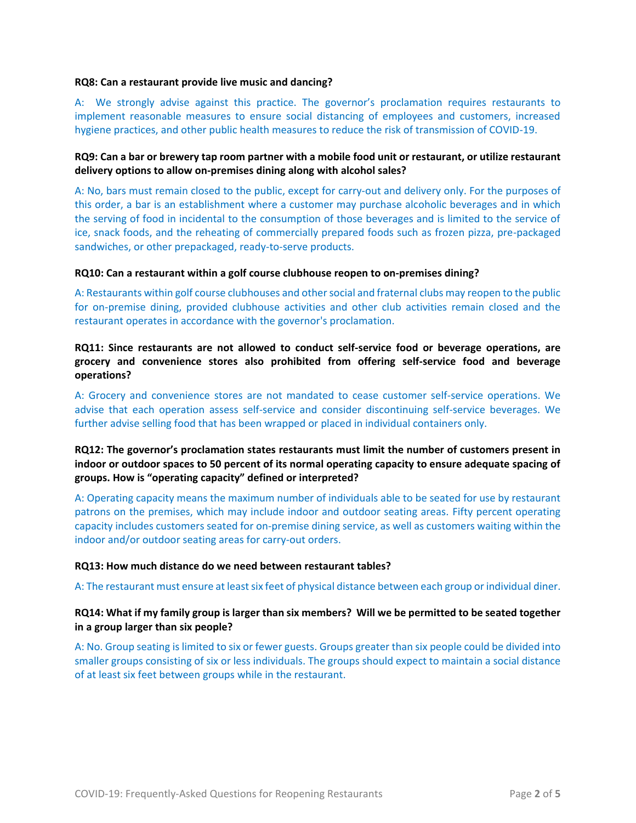#### **RQ8: Can a restaurant provide live music and dancing?**

A: We strongly advise against this practice. The governor's proclamation requires restaurants to implement reasonable measures to ensure social distancing of employees and customers, increased hygiene practices, and other public health measures to reduce the risk of transmission of COVID-19.

# **RQ9: Can a bar or brewery tap room partner with a mobile food unit or restaurant, or utilize restaurant delivery options to allow on-premises dining along with alcohol sales?**

A: No, bars must remain closed to the public, except for carry-out and delivery only. For the purposes of this order, a bar is an establishment where a customer may purchase alcoholic beverages and in which the serving of food in incidental to the consumption of those beverages and is limited to the service of ice, snack foods, and the reheating of commercially prepared foods such as frozen pizza, pre-packaged sandwiches, or other prepackaged, ready-to-serve products.

### **RQ10: Can a restaurant within a golf course clubhouse reopen to on-premises dining?**

A: Restaurants within golf course clubhouses and other social and fraternal clubs may reopen to the public for on-premise dining, provided clubhouse activities and other club activities remain closed and the restaurant operates in accordance with the governor's proclamation.

**RQ11: Since restaurants are not allowed to conduct self-service food or beverage operations, are grocery and convenience stores also prohibited from offering self-service food and beverage operations?**

A: Grocery and convenience stores are not mandated to cease customer self-service operations. We advise that each operation assess self-service and consider discontinuing self-service beverages. We further advise selling food that has been wrapped or placed in individual containers only.

# **RQ12: The governor's proclamation states restaurants must limit the number of customers present in indoor or outdoor spaces to 50 percent of its normal operating capacity to ensure adequate spacing of groups. How is "operating capacity" defined or interpreted?**

A: Operating capacity means the maximum number of individuals able to be seated for use by restaurant patrons on the premises, which may include indoor and outdoor seating areas. Fifty percent operating capacity includes customers seated for on-premise dining service, as well as customers waiting within the indoor and/or outdoor seating areas for carry-out orders.

### **RQ13: How much distance do we need between restaurant tables?**

A: The restaurant must ensure at least six feet of physical distance between each group or individual diner.

### **RQ14: What if my family group is larger than six members? Will we be permitted to be seated together in a group larger than six people?**

A: No. Group seating is limited to six or fewer guests. Groups greater than six people could be divided into smaller groups consisting of six or less individuals. The groups should expect to maintain a social distance of at least six feet between groups while in the restaurant.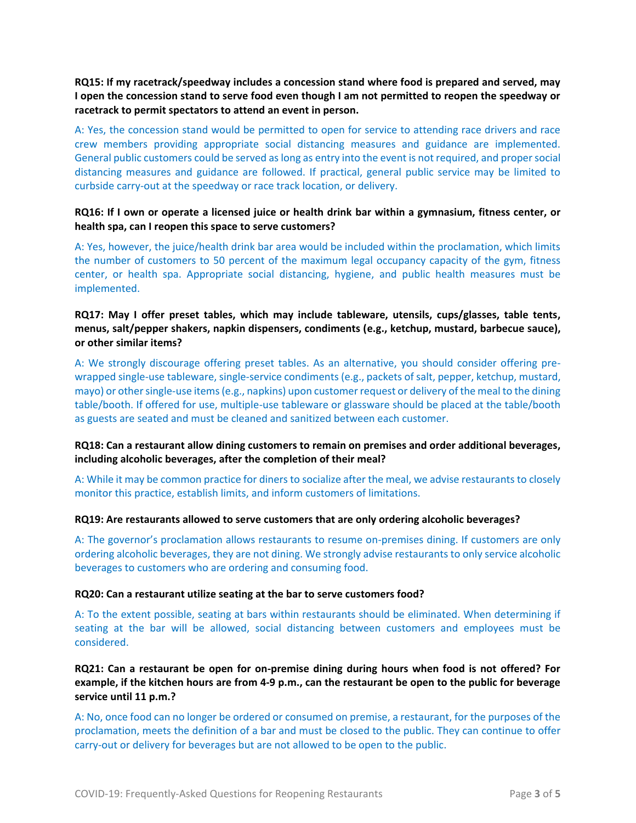**RQ15: If my racetrack/speedway includes a concession stand where food is prepared and served, may I open the concession stand to serve food even though I am not permitted to reopen the speedway or racetrack to permit spectators to attend an event in person.**

A: Yes, the concession stand would be permitted to open for service to attending race drivers and race crew members providing appropriate social distancing measures and guidance are implemented. General public customers could be served as long as entry into the event is not required, and proper social distancing measures and guidance are followed. If practical, general public service may be limited to curbside carry-out at the speedway or race track location, or delivery.

# **RQ16: If I own or operate a licensed juice or health drink bar within a gymnasium, fitness center, or health spa, can I reopen this space to serve customers?**

A: Yes, however, the juice/health drink bar area would be included within the proclamation, which limits the number of customers to 50 percent of the maximum legal occupancy capacity of the gym, fitness center, or health spa. Appropriate social distancing, hygiene, and public health measures must be implemented.

# **RQ17: May I offer preset tables, which may include tableware, utensils, cups/glasses, table tents, menus, salt/pepper shakers, napkin dispensers, condiments (e.g., ketchup, mustard, barbecue sauce), or other similar items?**

A: We strongly discourage offering preset tables. As an alternative, you should consider offering prewrapped single-use tableware, single-service condiments (e.g., packets of salt, pepper, ketchup, mustard, mayo) or other single-use items (e.g., napkins) upon customer request or delivery of the meal to the dining table/booth. If offered for use, multiple-use tableware or glassware should be placed at the table/booth as guests are seated and must be cleaned and sanitized between each customer.

# **RQ18: Can a restaurant allow dining customers to remain on premises and order additional beverages, including alcoholic beverages, after the completion of their meal?**

A: While it may be common practice for diners to socialize after the meal, we advise restaurants to closely monitor this practice, establish limits, and inform customers of limitations.

### **RQ19: Are restaurants allowed to serve customers that are only ordering alcoholic beverages?**

A: The governor's proclamation allows restaurants to resume on-premises dining. If customers are only ordering alcoholic beverages, they are not dining. We strongly advise restaurants to only service alcoholic beverages to customers who are ordering and consuming food.

### **RQ20: Can a restaurant utilize seating at the bar to serve customers food?**

A: To the extent possible, seating at bars within restaurants should be eliminated. When determining if seating at the bar will be allowed, social distancing between customers and employees must be considered.

**RQ21: Can a restaurant be open for on-premise dining during hours when food is not offered? For example, if the kitchen hours are from 4-9 p.m., can the restaurant be open to the public for beverage service until 11 p.m.?**

A: No, once food can no longer be ordered or consumed on premise, a restaurant, for the purposes of the proclamation, meets the definition of a bar and must be closed to the public. They can continue to offer carry-out or delivery for beverages but are not allowed to be open to the public.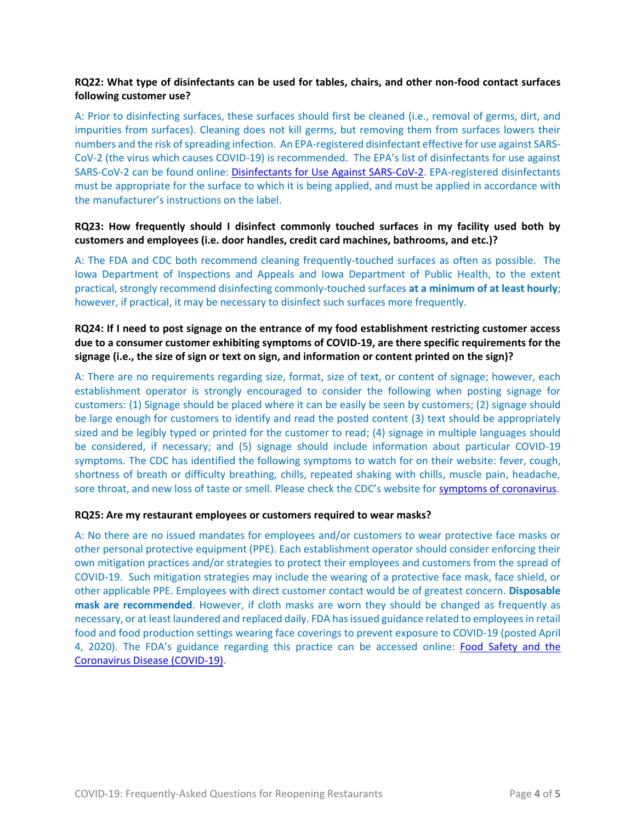# **RQ22: What type of disinfectants can be used for tables, chairs, and other non-food contact surfaces following customer use?**

A: Prior to disinfecting surfaces, these surfaces should first be cleaned (i.e., removal of germs, dirt, and impurities from surfaces). Cleaning does not kill germs, but removing them from surfaces lowers their numbers and the risk of spreading infection. An EPA-registered disinfectant effective for use against SARS-CoV-2 (the virus which causes COVID-19) is recommended. The EPA's list of disinfectants for use against SARS-CoV-2 can be found online: [Disinfectants for Use Against SARS-CoV-2.](https://www.epa.gov/pesticide-registration/list-n-disinfectants-use-against-sars-cov-2) EPA-registered disinfectants must be appropriate for the surface to which it is being applied, and must be applied in accordance with the manufacturer's instructions on the label.

# **RQ23: How frequently should I disinfect commonly touched surfaces in my facility used both by customers and employees (i.e. door handles, credit card machines, bathrooms, and etc.)?**

A: The FDA and CDC both recommend cleaning frequently-touched surfaces as often as possible. The Iowa Department of Inspections and Appeals and Iowa Department of Public Health, to the extent practical, strongly recommend disinfecting commonly-touched surfaces **at a minimum of at least hourly**; however, if practical, it may be necessary to disinfect such surfaces more frequently.

# **RQ24: If I need to post signage on the entrance of my food establishment restricting customer access due to a consumer customer exhibiting symptoms of COVID-19, are there specific requirements for the signage (i.e., the size of sign or text on sign, and information or content printed on the sign)?**

A: There are no requirements regarding size, format, size of text, or content of signage; however, each establishment operator is strongly encouraged to consider the following when posting signage for customers: (1) Signage should be placed where it can be easily be seen by customers; (2) signage should be large enough for customers to identify and read the posted content (3) text should be appropriately sized and be legibly typed or printed for the customer to read; (4) signage in multiple languages should be considered, if necessary; and (5) signage should include information about particular COVID-19 symptoms. The CDC has identified the following symptoms to watch for on their website: fever, cough, shortness of breath or difficulty breathing, chills, repeated shaking with chills, muscle pain, headache, sore throat, and new loss of taste or smell. Please check the CDC's website for [symptoms of coronavirus.](https://www.cdc.gov/coronavirus/2019-ncov/symptoms-testing/symptoms.html)

# **RQ25: Are my restaurant employees or customers required to wear masks?**

A: No there are no issued mandates for employees and/or customers to wear protective face masks or other personal protective equipment (PPE). Each establishment operator should consider enforcing their own mitigation practices and/or strategies to protect their employees and customers from the spread of COVID-19. Such mitigation strategies may include the wearing of a protective face mask, face shield, or other applicable PPE. Employees with direct customer contact would be of greatest concern. **Disposable mask are recommended**. However, if cloth masks are worn they should be changed as frequently as necessary, or at least laundered and replaced daily. FDA has issued guidance related to employees in retail food and food production settings wearing face coverings to prevent exposure to COVID-19 (posted April 4, 2020). The FDA's guidance regarding this practice can be accessed online: [Food Safety and the](https://www.fda.gov/food/food-safety-during-emergencies/food-safety-and-coronavirus-disease-2019-covid-19)  [Coronavirus Disease](https://www.fda.gov/food/food-safety-during-emergencies/food-safety-and-coronavirus-disease-2019-covid-19) (COVID-19).